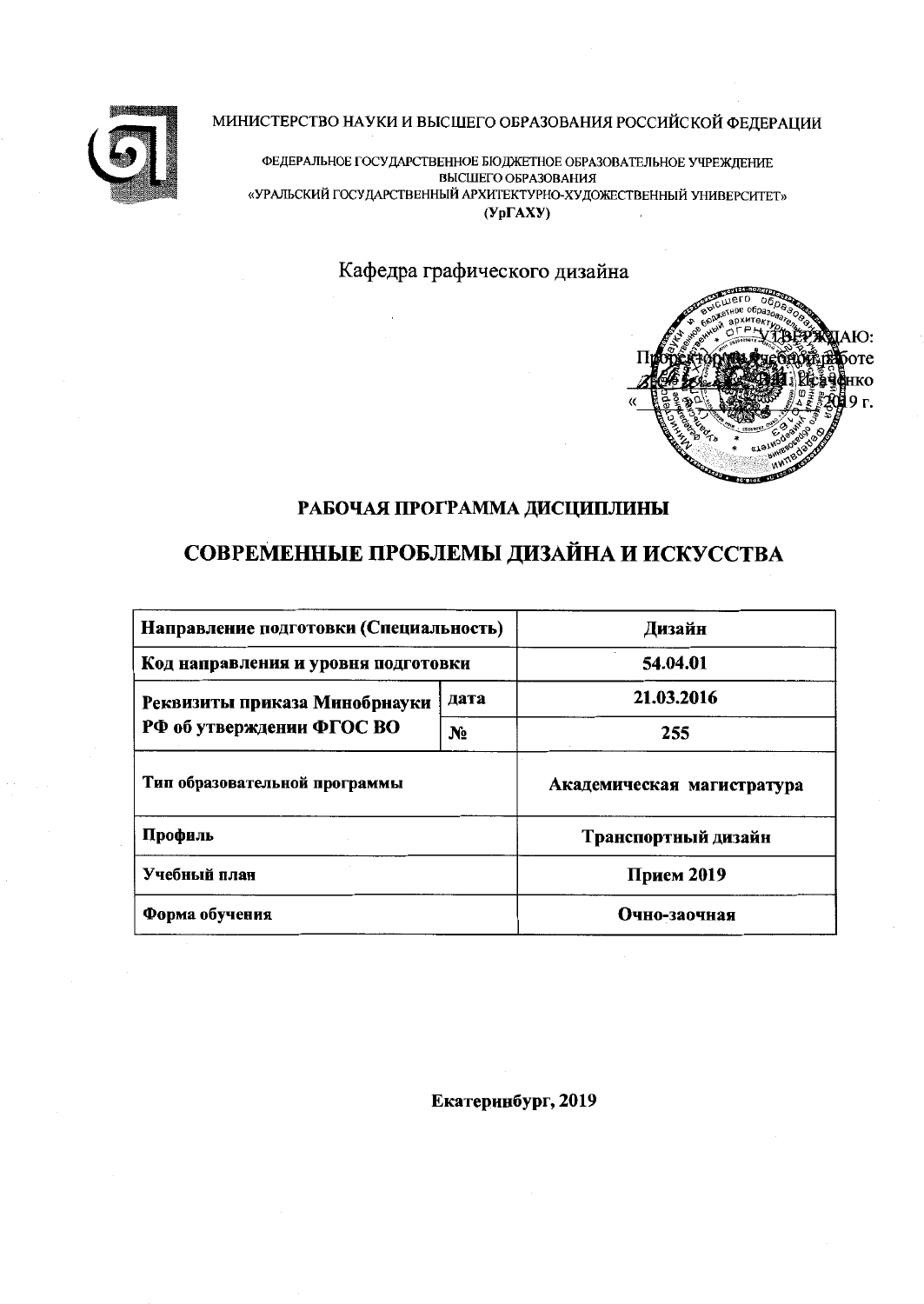



ФЕДЕРАЛЬНОЕ ГОСУДАРСТВЕННОЕ БЮДЖЕТНОЕ ОБРАЗОВАТЕЛЬНОЕ УЧРЕЖДЕНИЕ ВЫСШЕГО ОБРАЗОВАНИЯ «УРАЛЬСКИЙ ГОСУДАРСТВЕННЫЙ АРХИТЕКТУРНО-ХУДОЖЕСТВЕННЫЙ УНИВЕРСИТЕТ»  $(Yp\Gamma A X Y)$ 

Кафедра графического дизайна



### РАБОЧАЯ ПРОГРАММА ДИСЦИПЛИНЫ

# СОВРЕМЕННЫЕ ПРОБЛЕМЫ ДИЗАЙНА И ИСКУССТВА

| Направление подготовки (Специальность) | Дизайн       |                            |  |  |
|----------------------------------------|--------------|----------------------------|--|--|
| Код направления и уровня подготовки    | 54.04.01     |                            |  |  |
| Реквизиты приказа Минобрнауки          | 21.03.2016   |                            |  |  |
| РФ об утверждении ФГОС ВО              | $N_2$        | 255                        |  |  |
| Тип образовательной программы          |              | Академическая магистратура |  |  |
| Профиль                                |              | Транспортный дизайн        |  |  |
| Учебный план                           | Прием 2019   |                            |  |  |
| Форма обучения                         | Очно-заочная |                            |  |  |

Екатеринбург, 2019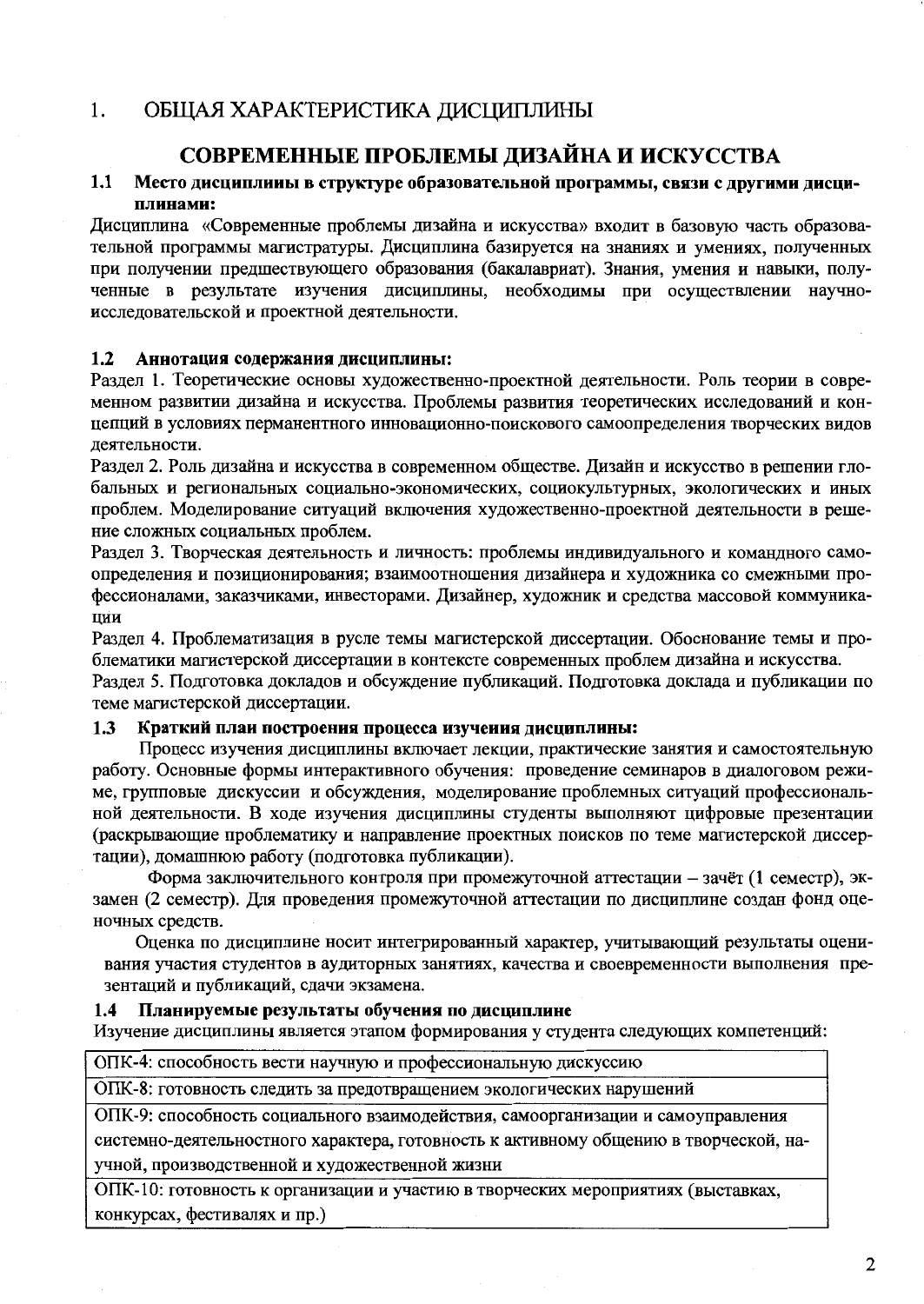#### $1<sub>1</sub>$ ОБШАЯ ХАРАКТЕРИСТИКА ДИСЦИПЛИНЫ

## СОВРЕМЕННЫЕ ПРОБЛЕМЫ ДИЗАЙНА И ИСКУССТВА

#### $1.1$ Место дисциплииы в структуре образовательной программы, связи с другими дисциплинами:

Дисциплина «Современные проблемы дизайна и искусства» входит в базовую часть образовательной программы магистратуры. Дисциплина базируется на знаниях и умениях, полученных при получении предшествующего образования (бакалавриат). Знания, умения и навыки, полученные в результате изучения дисциплины, необходимы при осуществлении научноисслеловательской и проектной деятельности.

#### $1.2$ Аннотация содержания дисциплины:

Разлел 1. Теоретические основы художественно-проектной деятельности. Роль теории в современном развитии дизайна и искусства. Проблемы развития теоретических исследований и концепций в условиях перманентного инновационно-поискового самоопределения творческих видов деятельности.

Разлел 2. Роль дизайна и искусства в современном обществе. Дизайн и искусство в решении глобальных и региональных социально-экономических, социокультурных, экологических и иных проблем. Моделирование ситуаций включения художественно-проектной деятельности в решение сложных социальных проблем.

Разлел 3. Творческая деятельность и личность: проблемы индивидуального и командного самоопределения и позиционирования; взаимоотношения дизайнера и художника со смежными профессионалами, заказчиками, инвесторами, Дизайнер, художник и средства массовой коммуника-ПИИ

Раздел 4. Проблематизация в русле темы магистерской диссертации. Обоснование темы и проблематики магистерской диссертации в контексте современных проблем дизайна и искусства.

Разлел 5. Полготовка докладов и обсуждение публикаций. Подготовка доклада и публикации по теме магистерской диссертации.

#### $1.3$ Краткий плаи построения процесса изучения дисциплины:

Процесс изучения дисциплины включает лекции, практические занятия и самостоятельную работу. Основные формы интерактивного обучения: проведение семинаров в диалоговом режиме, групповые дискуссии и обсуждения, моделирование проблемных ситуаций профессиональной деятельности. В ходе изучения дисциплины студенты выполняют цифровые презентации (раскрывающие проблематику и направление проектных поисков по теме магистерской диссертации), домашнюю работу (подготовка публикации).

Форма заключительного контроля при промежуточной аттестации - зачёт (1 семестр), экзамен (2 семестр). Для проведения промежуточной аттестации по дисциплине создан фонд оценочных средств.

Оценка по дисциплине носит интегрированный характер, учитывающий результаты оценивания участия студентов в аудиторных занятиях, качества и своевременности выполнения презентаций и публикаций, сдачи экзамена.

#### Планируемые результаты обучения по дисциплине  $1.4$

Изучение дисциплины является этапом формирования у студента следующих компетенций:

ОПК-4: способность вести научную и профессиональную дискуссию

ОПК-8: готовность следить за предотвращением экологических нарушений

ОПК-9: способность социального взаимодействия, самоорганизации и самоуправления

системно-деятельностного характера, готовность к активному общению в творческой, научной, производственной и художественной жизни

ОПК-10: готовность к организации и участию в творческих мероприятиях (выставках, конкурсах, фестивалях и пр.)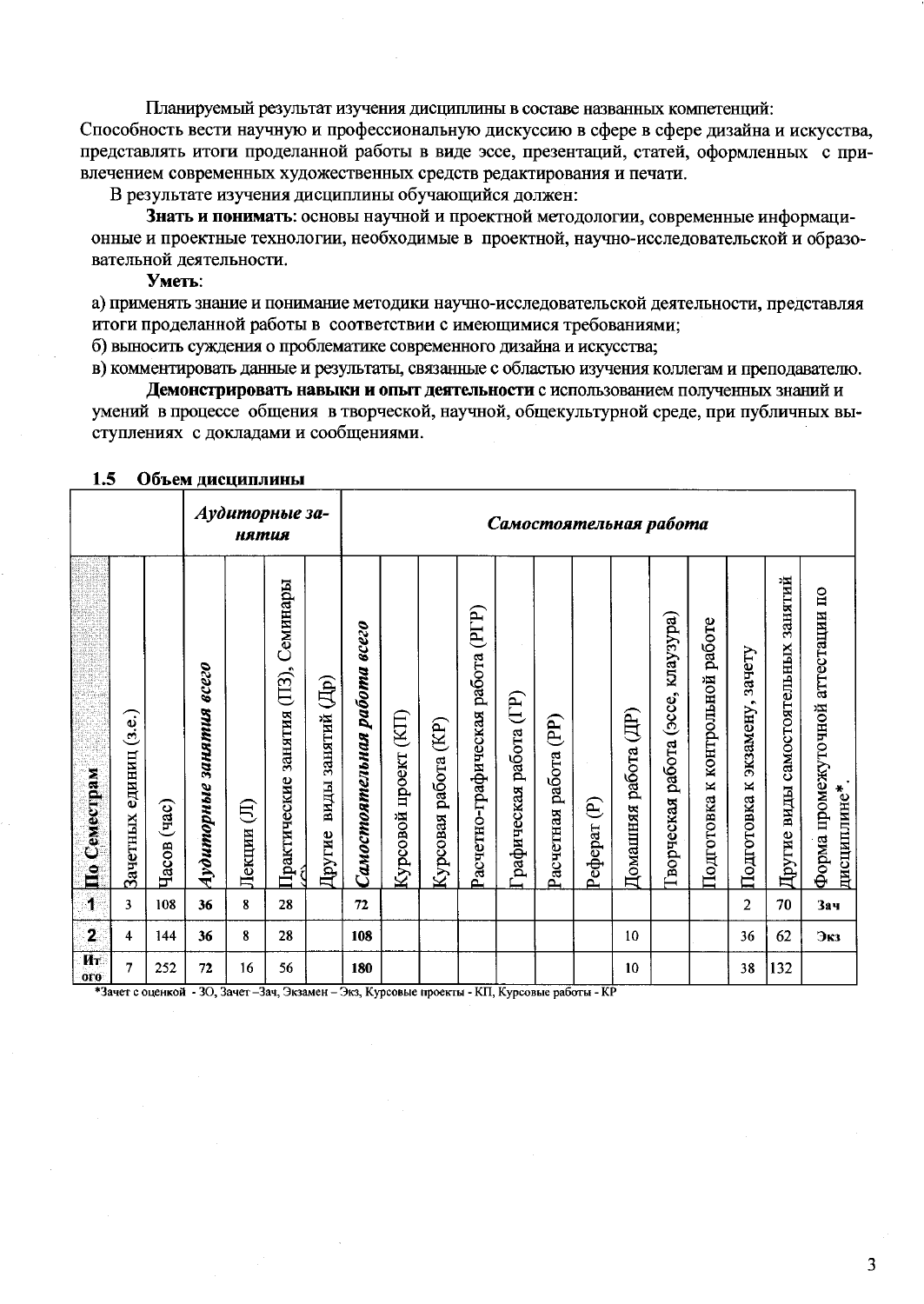Планируемый результат изучения дисциплины в составе названных компетенций: Способность вести научную и профессиональную дискуссию в сфере в сфере дизайна и искусства. представлять итоги проделанной работы в виде эссе, презентаций, статей, оформленных с привлечением современных художественных средств редактирования и печати.

В результате изучения дисциплины обучающийся должен:

Знать и понимать: основы научной и проектной методологии, современные информационные и проектные технологии, необходимые в проектной, научно-исследовательской и образовательной деятельности.

Уметь:

а) применять знание и понимание методики научно-исследовательской деятельности, представляя итоги проделанной работы в соответствии с имеющимися требованиями;

б) выносить суждения о проблематике современного дизайна и искусства;

в) комментировать данные и результаты, связанные с областью изучения коллегам и преподавателю.

Демонстрировать навыки и опыт деятельности с использованием полученных знаний и умений в процессе общения в творческой, научной, общекультурной среде, при публичных выступлениях с докладами и сообщениями.

|                         | 1.J<br>ООБСМ ДИСЦИШИНЫ    |                |                          |             |                                     |                             |                              |                          |                            |                                      |                        |                       |                                   |                                   |                                          |                                       |                                  |                                     |                                                  |
|-------------------------|---------------------------|----------------|--------------------------|-------------|-------------------------------------|-----------------------------|------------------------------|--------------------------|----------------------------|--------------------------------------|------------------------|-----------------------|-----------------------------------|-----------------------------------|------------------------------------------|---------------------------------------|----------------------------------|-------------------------------------|--------------------------------------------------|
| Аудиторные за-<br>нятия |                           |                |                          |             |                                     |                             |                              |                          |                            |                                      |                        |                       | Самостоятельная работа            |                                   |                                          |                                       |                                  |                                     |                                                  |
| По Семестрам            | единиц (з.е.)<br>Зачетных | (aac)<br>Часов | Аудиторные занятия всего | €<br>Лекции | Практические занятия (ПЗ), Семинары | виды занятий (Др)<br>Другие | Самостоятельная работа всего | (KIT)<br>Курсовой проект | (KP)<br>работа<br>Курсовая | (PIP)<br>Расчетно-графическая работа | рафическая работа (ГР) | Расчетная работа (PP) | $\widehat{\mathbf{e}}$<br>Реферат | $(\mathbb{H})$<br>Домашняя работа | kuay3ypa)<br>(occe,<br>Гворческая работа | работе<br>к контрольной<br>Подготовка | зачету<br>Подготовка к экзамену, | Другие виды самостоятельных занятий | Форма промежуточной агтестации по<br>дисциплине* |
| T                       | 3                         | 108            | 36                       | 8           | 28                                  |                             | 72                           |                          |                            |                                      |                        |                       |                                   |                                   |                                          |                                       | $\overline{2}$                   | 70                                  | Зач                                              |
| $\overline{\mathbf{2}}$ | 4                         | 144            | 36                       | 8           | 28                                  |                             | 108                          |                          |                            |                                      |                        |                       |                                   | 10                                |                                          |                                       | 36                               | 62                                  | Экз                                              |
| Ит<br><b>OLO</b>        | 7                         | 252            | 72                       | 16          | 56                                  |                             | 180                          |                          |                            |                                      |                        |                       |                                   | 10                                |                                          |                                       | 38                               | 132                                 |                                                  |

#### $\Omega$ бт ам писнин винг

\*Зачет с оценкой - ЗО, Зачет-Зач, Экзамен - Экз, Курсовые проекты - КП, Курсовые работы - КР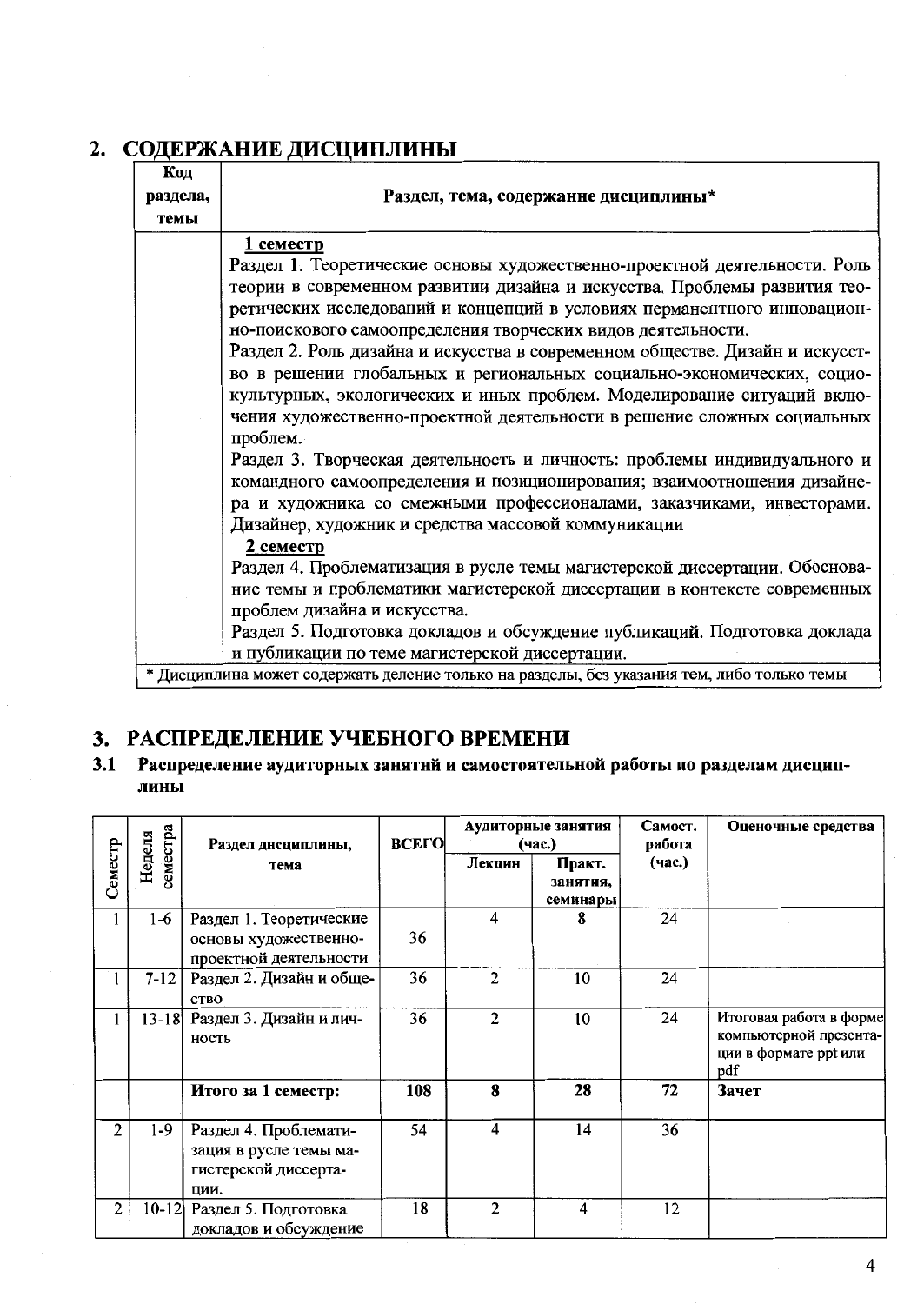| Код<br>раздела,<br>темы | Раздел, тема, содержанне дисциплины*                                                       |
|-------------------------|--------------------------------------------------------------------------------------------|
|                         | семестр                                                                                    |
|                         | Раздел 1. Теоретические основы художественно-проектной деятельности. Роль                  |
|                         | теории в современном развитии дизайна и искусства. Проблемы развития тео-                  |
|                         | ретических исследований и концепций в условиях перманентного инновацион-                   |
|                         | но-поискового самоопределения творческих видов деятельности.                               |
|                         | Раздел 2. Роль дизайна и искусства в современном обществе. Дизайн и искусст-               |
|                         | во в решении глобальных и региональных социально-экономических, социо-                     |
|                         | культурных, экологических и иных проблем. Моделирование ситуаций вклю-                     |
|                         | чения художественно-проектной деятельности в решение сложных социальных                    |
|                         | проблем.                                                                                   |
|                         | Раздел 3. Творческая деятельность и личность: проблемы индивидуального и                   |
|                         | командного самоопределения и позиционирования; взаимоотношения дизайне-                    |
|                         | ра и художника со смежными профессионалами, заказчиками, инвесторами.                      |
|                         | Дизайнер, художник и средства массовой коммуникации                                        |
|                         | 2 семестр                                                                                  |
|                         | Раздел 4. Проблематизация в русле темы магистерской диссертации. Обоснова-                 |
|                         | ние темы и проблематики магистерской диссертации в контексте современных                   |
|                         | проблем дизайна и искусства.                                                               |
|                         | Раздел 5. Подготовка докладов и обсуждение публикаций. Подготовка доклада                  |
|                         | и публикации по теме магистерской диссертации.                                             |
|                         | * Дисциплина может содержать деление только на разделы, без указания тем, либо только темы |

# 2. СОДЕРЖАНИЕ ДИСЦИПЛИНЫ

## 3. РАСПРЕДЕЛЕНИЕ УЧЕБНОГО ВРЕМЕНИ

Распределение аудиторных занятни и самостоятельной работы по разделам дисцип- $3.1$ лины

|                |                    | Раздел днециплины,                                                              | <b>BCELO</b> |                | Аудиторные занятия<br>(час.)   | Самост.<br>работа | Оценочные средства                                                                |
|----------------|--------------------|---------------------------------------------------------------------------------|--------------|----------------|--------------------------------|-------------------|-----------------------------------------------------------------------------------|
| Семестр        | семестра<br>Неделя | тема                                                                            |              | Лекцин         | Практ.<br>занятия,<br>семинары | (час.)            |                                                                                   |
|                | $1-6$              | Раздел 1. Теоретические<br>основы художественно-<br>проектной деятельности      | 36           | 4              | 8                              | 24                |                                                                                   |
|                | $7 - 12$           | Раздел 2. Дизайн и обще-<br><b>CTBO</b>                                         | 36           | $\overline{c}$ | 10                             | 24                |                                                                                   |
|                | $13 - 18$          | Раздел 3. Дизайн и лич-<br>ность                                                | 36           | 2              | 10                             | 24                | Итоговая работа в форме<br>компьютерной презента-<br>ции в формате ppt или<br>pdf |
|                |                    | Итого за 1 семестр:                                                             | 108          | 8              | 28                             | 72                | Зачет                                                                             |
| $\overline{2}$ | $1-9$              | Раздел 4. Проблемати-<br>зация в русле темы ма-<br>гистерской диссерта-<br>ЦИИ. | 54           | 4              | 14                             | 36                |                                                                                   |
| $\overline{2}$ | $10 - 12$          | Раздел 5. Подготовка<br>докладов и обсуждение                                   | 18           | $\mathfrak{p}$ | 4                              | 12                |                                                                                   |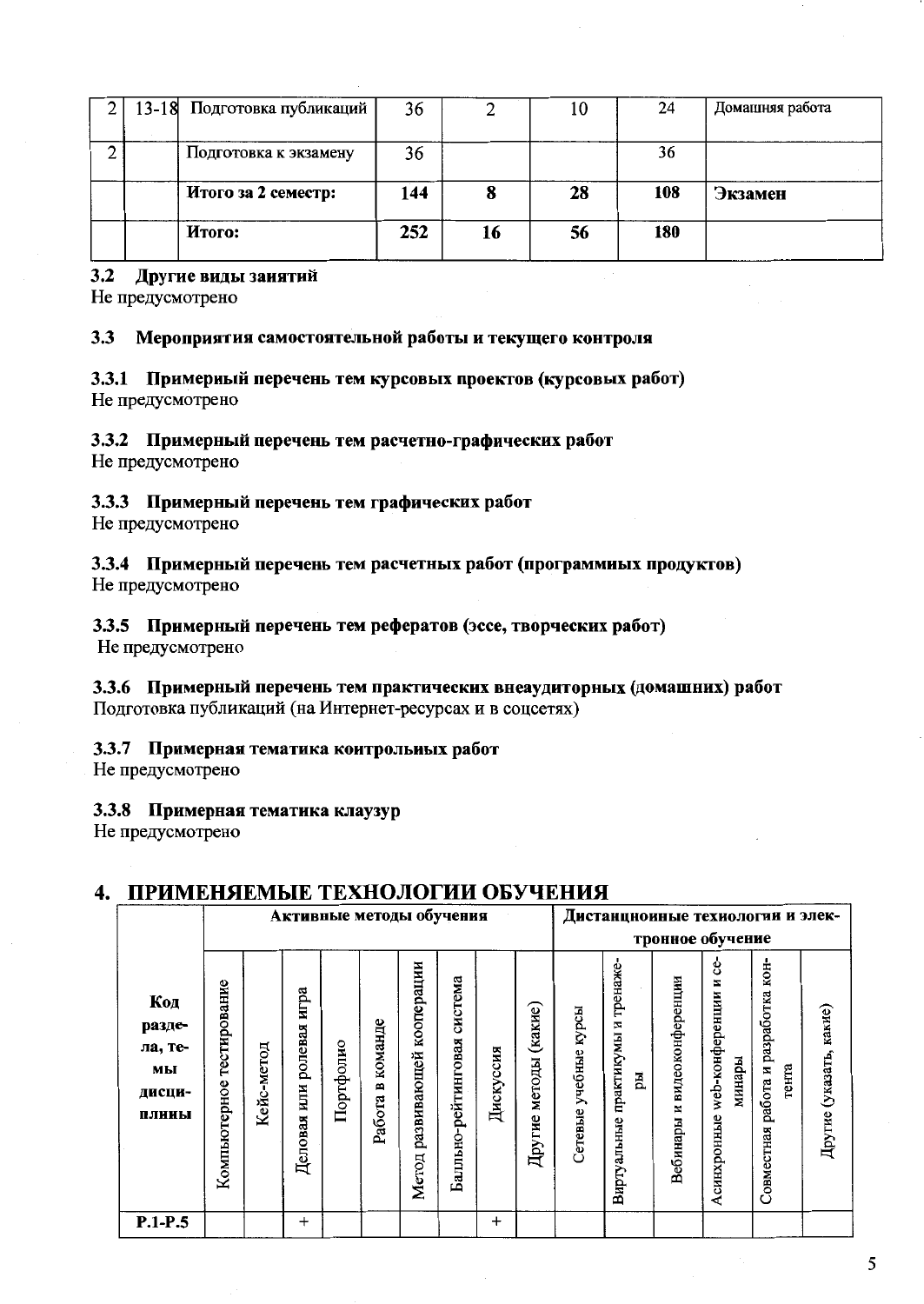| 13-18 | Подготовка публикаций | 36  |    | 10 | 24  | Домашняя работа |
|-------|-----------------------|-----|----|----|-----|-----------------|
|       | Подготовка к экзамену | 36  |    |    | 36  |                 |
|       | Итого за 2 семестр:   | 144 | 8  | 28 | 108 | Экзамен         |
|       | Итого:                | 252 | 16 | 56 | 180 |                 |

#### $3.2$ Другие виды занятий

Не предусмотрено

#### 3.3 Мероприятия самостоятельной работы и текущего контроля

3.3.1 Примерный перечень тем курсовых проектов (курсовых работ) Не предусмотрено

#### 3.3.2 Примерный перечень тем расчетно-графических работ

Не предусмотрено

#### 3.3.3 Примерный перечень тем графических работ

Не предусмотрено

#### 3.3.4 Примерный перечень тем расчетных работ (программных продуктов) Не предусмотрено

## 3.3.5 Примерный перечень тем рефератов (эссе, творческих работ)

Не предусмотрено

## 3.3.6 Примерный перечень тем практических внеаудиторных (домашних) работ

Подготовка публикаций (на Интернет-ресурсах и в соцсетях)

### 3.3.7 Примерная тематика контрольных работ

Не предусмотрено

#### 3.3.8 Примерная тематика клаузур

Не предусмотрено

## 4. ПРИМЕНЯЕМЫЕ ТЕХНОЛОГИИ ОБУЧЕНИЯ

|                                                   | Активные методы обучения     |            |                                   |           |                        |                                    |                                |           |                       |                             | Дистанцноиные техиологии и элек-                 |                                   |                                                     |                                              |                         |
|---------------------------------------------------|------------------------------|------------|-----------------------------------|-----------|------------------------|------------------------------------|--------------------------------|-----------|-----------------------|-----------------------------|--------------------------------------------------|-----------------------------------|-----------------------------------------------------|----------------------------------------------|-------------------------|
|                                                   |                              |            |                                   |           |                        |                                    |                                |           |                       |                             | тронное обучение                                 |                                   |                                                     |                                              |                         |
| Код<br>разде-<br>ла, те-<br>МЫ<br>дисци-<br>плины | тестирование<br>Компьютерное | Кейс-метод | игра<br>ролевая<br>ИЦИ<br>Деловая | Портфолио | команде<br>≃<br>Работа | кооперации<br>развивающей<br>Meron | система<br>Балльно-рейтинговая | Дискуссия | Другие методы (какие) | курсы<br>учебные<br>Сетевые | тренаже-<br>N<br>практикумы<br>Eц<br>Виртуальные | видеоконференции<br>И<br>Вебинары | ç,<br>N<br>web-конференции<br>минары<br>Асинхронные | Совместная работа и разработка кон-<br>тента | Другие (указать, какие) |
| $P.1-P.5$                                         |                              |            | $^{+}$                            |           |                        |                                    |                                | $^+$      |                       |                             |                                                  |                                   |                                                     |                                              |                         |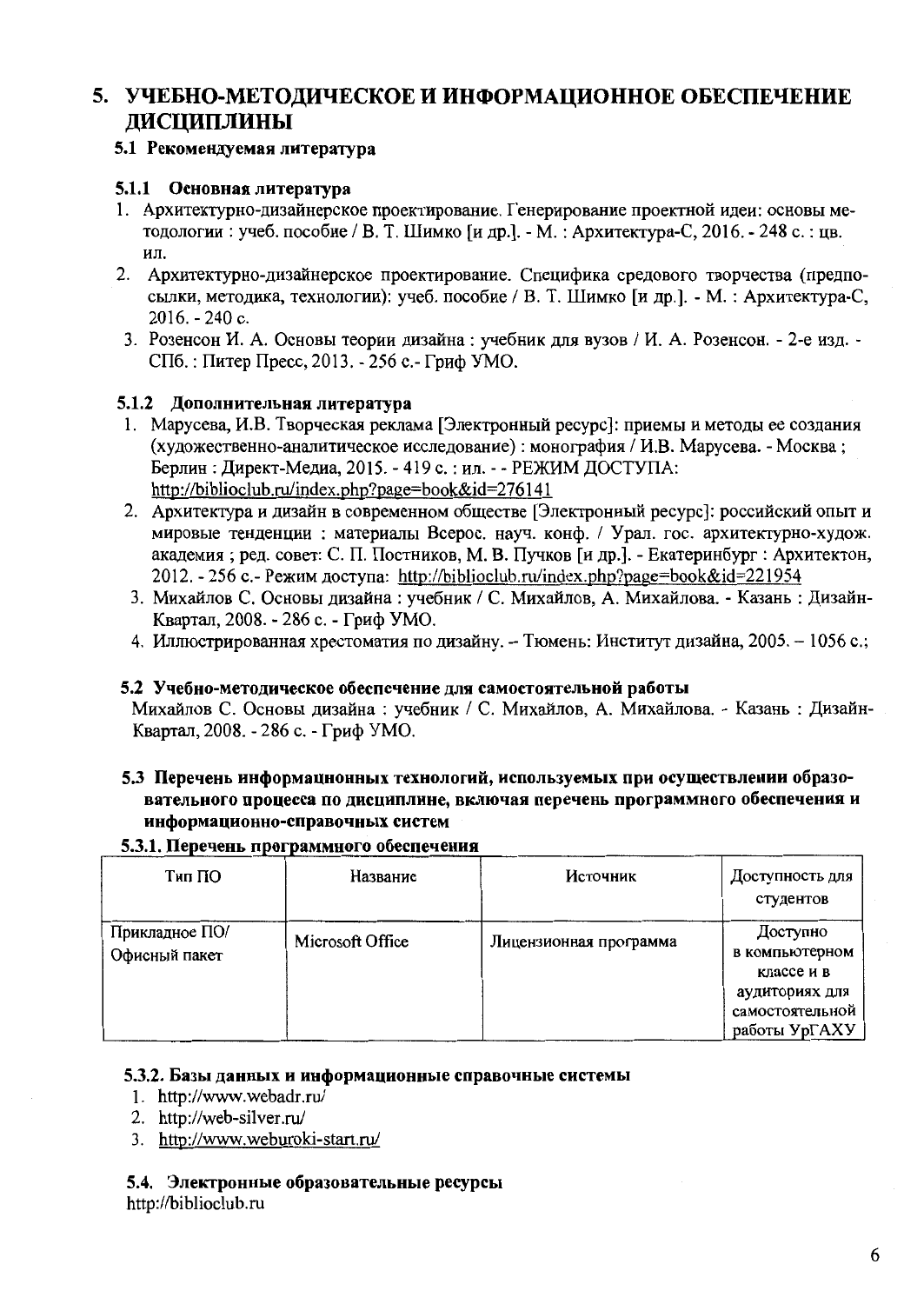## 5. УЧЕБНО-МЕТОДИЧЕСКОЕ И ИНФОРМАЦИОННОЕ ОБЕСПЕЧЕНИЕ ДИСЦИПЛИНЫ

### 5.1 Рекомендуемая литература

#### 5.1.1 Основная литература

- 1. Архитектурно-дизайнерское проектирование. Генерирование проектной идеи: основы методологии: учеб. пособие / В. Т. Шимко [и др.]. - М.: Архитектура-С. 2016. - 248 с.: цв. ИЛ.
- 2. Архитектурно-дизайнерское проектирование. Специфика средового творчества (предпосылки, методика, технологии): учеб. пособие / В. Т. Шимко [и др.]. - М. : Архитектура-С,  $2016. - 240c.$
- 3. Розенсон И. А. Основы теории дизайна: учебник для вузов / И. А. Розенсон. 2-е изд. -СПб.: Питер Пресс, 2013. - 256 с.- Гриф УМО.

### 5.1.2 Дополнительная литература

- 1. Марусева, И.В. Творческая реклама [Электронный ресурс]: приемы и методы ее создания (художественно-аналитическое исследование): монография / И.В. Марусева. - Москва; Берлин: Директ-Медиа, 2015. - 419 с.: ил. - - РЕЖИМ ДОСТУПА: http://biblioclub.ru/index.php?page=book&id=276141
- 2. Архитектура и дизайн в современном обществе [Электронный ресурс]: российский опыт и мировые тенденции: материалы Всерос. науч. конф. / Урал. гос. архитектурно-худож. академия; ред. совет: С. П. Постников, М. В. Пучков [и др.]. - Екатеринбург: Архитектон, 2012. - 256 с. - Режим доступа: http://biblioclub.ru/index.php?page=book&id=221954
- 3. Михайлов С. Основы дизайна: учебник / С. Михайлов, А. Михайлова. Казань: Дизайн-Квартал, 2008. - 286 с. - Гриф УМО.
- 4. Иллюстрированная хрестоматия по дизайну. Тюмень: Институт дизайна, 2005. 1056 с.;

#### 5.2 Учебно-методическое обеспечение для самостоятельной работы

Михайлов С. Основы дизайна: учебник / С. Михайлов, А. Михайлова. - Казань: Дизайн-Квартал, 2008. - 286 с. - Гриф УМО.

5.3 Перечень информационных технологий, используемых при осуществлении образовательного процесса по дисциплине, включая перечень программного обеспечения и информационно-справочных систем

#### 5.3.1. Перечень программного обеспечения

| Тип ПО                          | Название         | Источник               | Доступность для<br>студентов                                                                   |
|---------------------------------|------------------|------------------------|------------------------------------------------------------------------------------------------|
| Прикладное ПО/<br>Офисный пакет | Microsoft Office | Лицензионная программа | Доступно<br>в компьютерном<br>классе и в<br>аудиториях для<br>самостоятельной<br>работы УрГАХУ |

#### 5.3.2. Базы данных и информационные справочные системы

- 1. http://www.webadr.ru/
- 2. http://web-silver.ru/
- 3. http://www.weburoki-start.ru/

#### 5.4. Электронные образовательные ресурсы

http://biblioclub.ru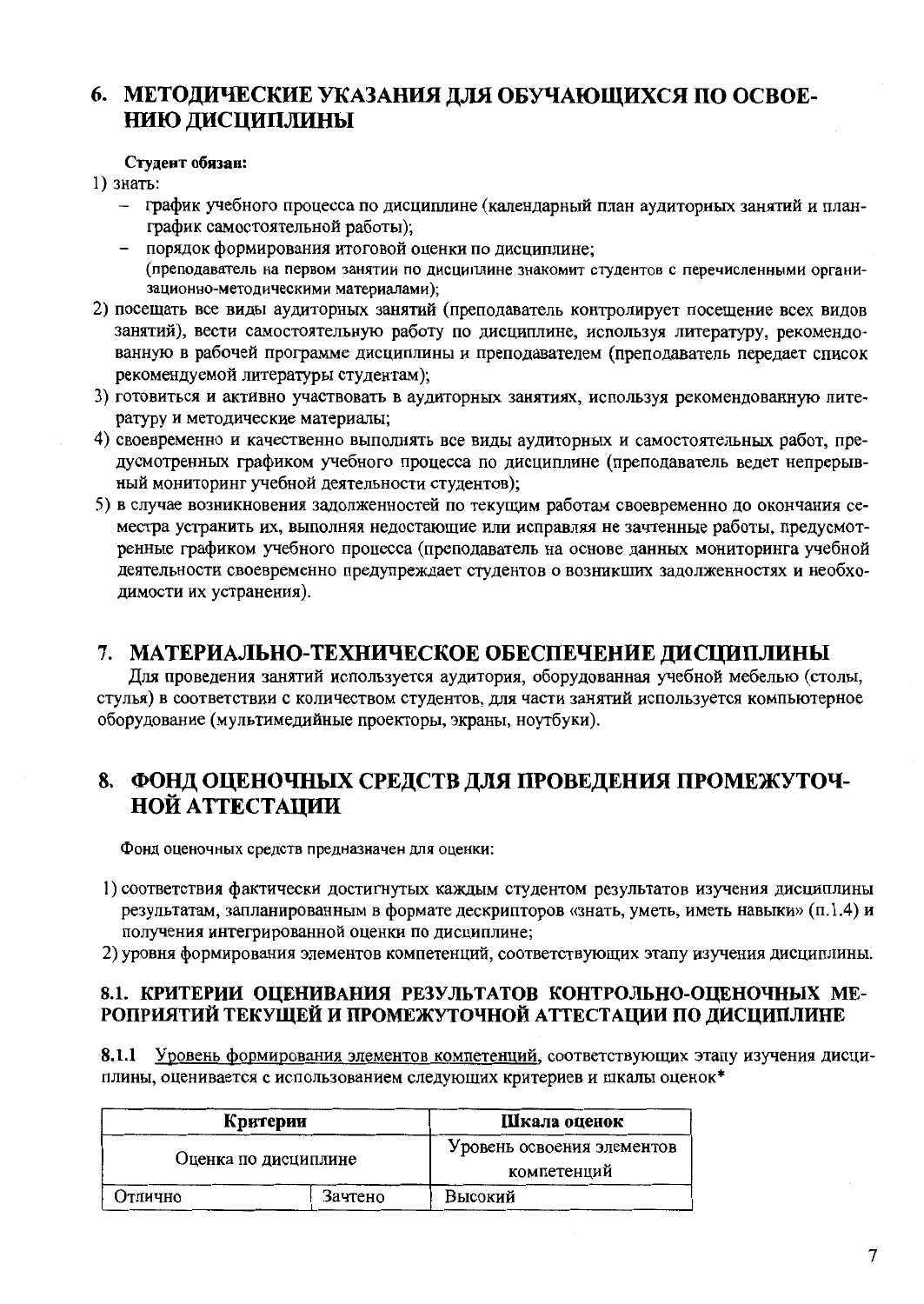# 6. МЕТОДИЧЕСКИЕ УКАЗАНИЯ ДЛЯ ОБУЧАЮЩИХСЯ ПО ОСВОЕ-НИЮ ДИСЦИПЛИНЫ

#### Стулент обязан:

1) знать:

- график учебного процесса по дисциплине (календарный план аудиторных занятий и планграфик самостоятельной работы);
- порядок формирования итоговой оценки по дисциплине: (преподаватель на первом занятии по дисциплине знакомит студентов с перечисленными организационно-методическими материалами);
- 2) посещать все виды аудиторных занятий (преподаватель контролирует посещение всех видов занятий), вести самостоятельную работу по дисциплине, используя литературу, рекомендованную в рабочей программе дисциплины и преподавателем (преподаватель передает список рекомендуемой литературы студентам);
- 3) готовиться и активно участвовать в аудиторных занятиях, используя рекомендованную литературу и методические материалы;
- 4) своевременно и качественно выполнять все виды аудиторных и самостоятельных работ, предусмотренных графиком учебного процесса по дисциплине (преподаватель ведет непрерывный мониторинг учебной деятельности студентов);
- 5) в случае возникновения задолженностей по текущим работам своевременно до окончания семестра устранить их, выполняя недостающие или исправляя не зачтенные работы, предусмотренные графиком учебного процесса (преподаватель на основе данных мониторинга учебной деятельности своевременно предупреждает студентов о возникших задолженностях и необходимости их устранения).

## 7. МАТЕРИАЛЬНО-ТЕХНИЧЕСКОЕ ОБЕСПЕЧЕНИЕ ДИСЦИПЛИНЫ

Для проведения занятий используется аудитория, оборудованная учебной мебелью (столы, стулья) в соответствии с количеством студентов, для части занятий используется компьютерное оборудование (мультимедийные проекторы, экраны, ноутбуки).

## 8. ФОНД ОЦЕНОЧНЫХ СРЕДСТВ ДЛЯ ПРОВЕДЕНИЯ ПРОМЕЖУТОЧ-**НОЙ АТТЕСТАЦИИ**

Фонд оценочных средств предназначен для оценки:

- 1) соответствия фактически достигнутых каждым студентом результатов изучения дисциплины результатам, запланированным в формате дескрипторов «знать, уметь, иметь навыки» (п.1.4) и получения интегрированной оценки по дисциплине;
- 2) уровня формирования элементов компетенций, соответствующих этапу изучения дисциплины.

## 8.1. КРИТЕРИИ ОЦЕНИВАНИЯ РЕЗУЛЬТАТОВ КОНТРОЛЬНО-ОЦЕНОЧНЫХ МЕ-РОПРИЯТИЙ ТЕКУЩЕЙ И ПРОМЕЖУТОЧНОЙ АТТЕСТАЦИИ ПО ДИСЦИПЛИНЕ

8.1.1 Уровень формирования элементов компетенций, соответствующих этапу изучения дисциплины, оценивается с использованием следующих критериев и шкалы оценок\*

| Критерии             | Шкала оценок |                                           |
|----------------------|--------------|-------------------------------------------|
| Оценка по дисциплине |              | Уровень освоения элементов<br>компетенций |
| Отлично              | Зачтено      | Высокий                                   |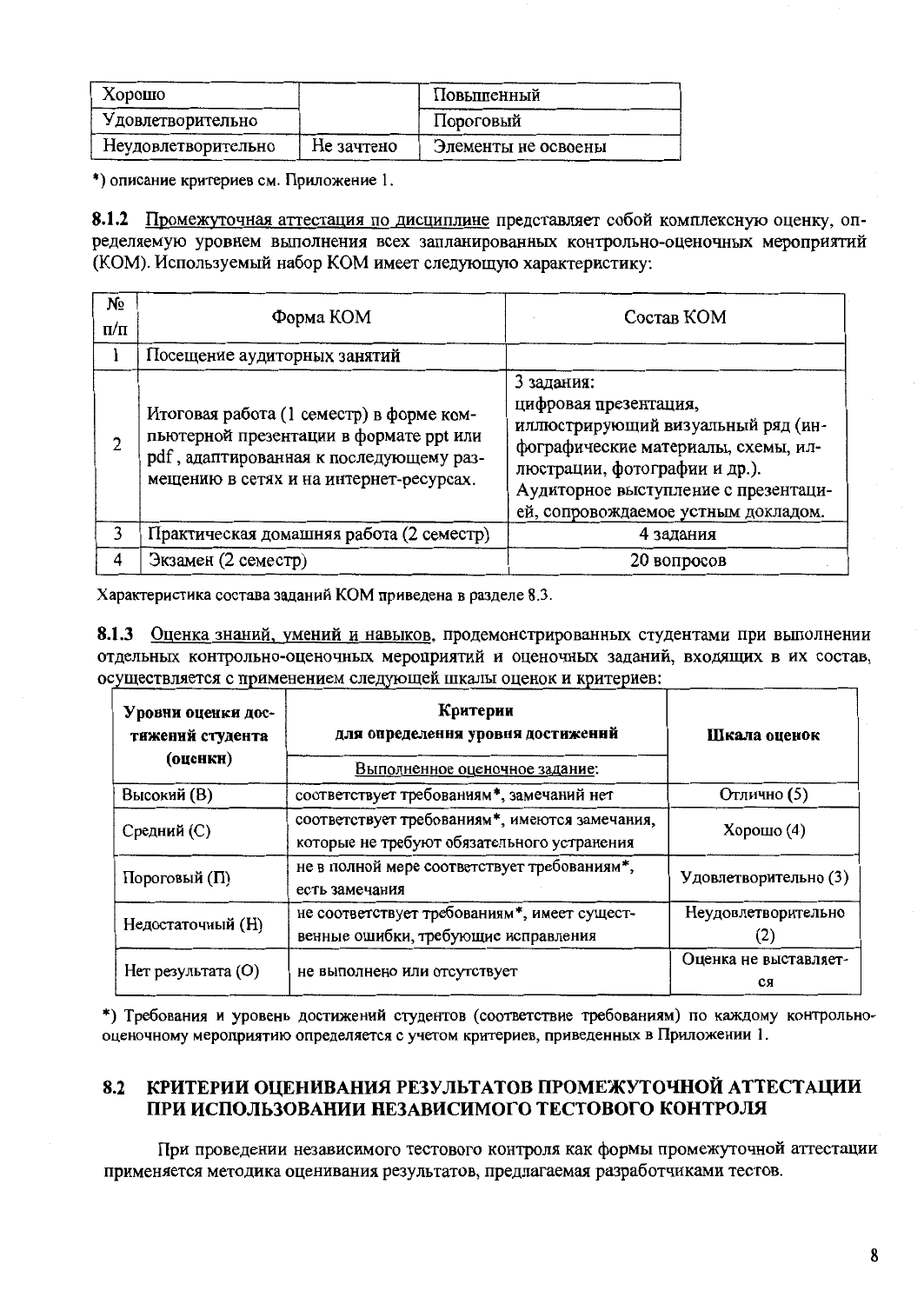| Хорошо              |            | Повышенный          |
|---------------------|------------|---------------------|
| Удовлетворительно   |            | Пороговый           |
| Неудовлетворительно | Не зачтено | Элементы не освоены |

\*) описание критериев см. Приложение 1.

8.1.2 Промежуточная аттестация по дисциплине представляет собой комплексную оценку, определяемую уровнем выполнения всех запланированных контрольно-оценочных мероприятий (КОМ). Используемый набор КОМ имеет следующую характеристику:

| N₫<br>$\Pi/\Pi$ | Форма КОМ                                                                                                                                                                 | Состав КОМ                                                                                                                                                                                                                       |
|-----------------|---------------------------------------------------------------------------------------------------------------------------------------------------------------------------|----------------------------------------------------------------------------------------------------------------------------------------------------------------------------------------------------------------------------------|
|                 | Посещение аудиторных занятий                                                                                                                                              |                                                                                                                                                                                                                                  |
| $\overline{2}$  | Итоговая работа (1 семестр) в форме ком-<br>пьютерной презентации в формате ppt или<br>pdf, адаптированная к последующему раз-<br>мещению в сетях и на интернет-ресурсах. | 3 задания:<br>цифровая презентация,<br>иллюстрирующий визуальный ряд (ин-<br>фографические материалы, схемы, ил-<br>люстрации, фотографии и др.).<br>Аудиторное выступление с презентаци-<br>ей, сопровождаемое устным докладом. |
| 3               | Практическая домашняя работа (2 семестр)                                                                                                                                  | 4 задания                                                                                                                                                                                                                        |
| 4               | Экзамен (2 семестр)                                                                                                                                                       | 20 вопросов                                                                                                                                                                                                                      |

Характеристика состава заданий КОМ приведена в разделе 8.3.

8.1.3 Оценка знаний, умений и навыков, продемонстрированных студентами при выполнении отдельных контрольно-оценочных мероприятий и оценочных заданий, входящих в их состав, осуществляется с применением следующей шкалы оценок и критериев:

| Уровни оценки дос-<br>тижений студента<br>(оценкн) | Критерии<br>для определення уровня достиженнй<br>Выполненное оценочное задание:               | Шкала оценок                |
|----------------------------------------------------|-----------------------------------------------------------------------------------------------|-----------------------------|
| Высокий (В)                                        | соответствует требованиям*, замечаний нет                                                     | Отлично (5)                 |
| Средний (С)                                        | соответствует требованиям*, имеются замечания,<br>которые не требуют обязательного устранения | Хорошо $(4)$                |
| Пороговый (П)                                      | не в полной мере соответствует требованиям*,<br>есть замечания                                | Удовлетворительно (3)       |
| Недостаточный (Н)                                  | не соответствует требованиям*, имеет сущест-<br>венные ошибки, требующие исправления          | Неудовлетворительно<br>(2)  |
| Нет результата (O)                                 | не выполнено или отсутствует                                                                  | Оценка не выставляет-<br>CЯ |

\*) Требования и уровень достижений студентов (соответствие требованиям) по каждому контрольнооценочному мероприятию определяется с учетом критериев, приведенных в Приложении 1.

#### КРИТЕРИИ ОЦЕНИВАНИЯ РЕЗУЛЬТАТОВ ПРОМЕЖУТОЧНОЙ АТТЕСТАЦИИ 8.2 ПРИ ИСПОЛЬЗОВАНИИ НЕЗАВИСИМОГО ТЕСТОВОГО КОНТРОЛЯ

При проведении независимого тестового контроля как формы промежуточной аттестации применяется методика оценивания результатов, предлагаемая разработчиками тестов.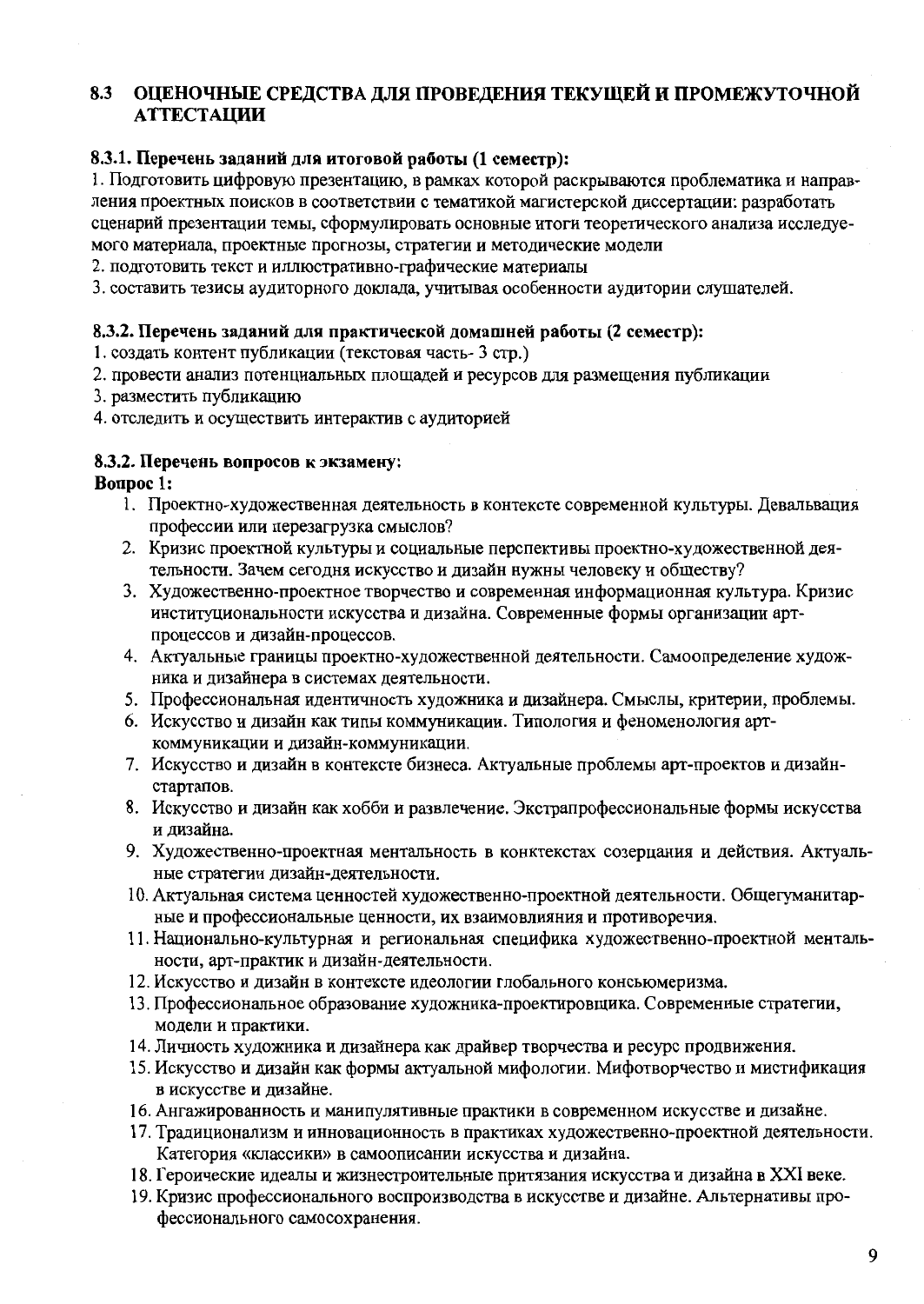#### ОЦЕНОЧНЫЕ СРЕДСТВА ДЛЯ ПРОВЕДЕНИЯ ТЕКУЩЕЙ И ПРОМЕЖУТОЧНОЙ 8.3 **АТТЕСТАЦИИ**

#### 8.3.1. Перечень заданий для итоговой работы (1 семестр):

1. Подготовить цифровую презентацию, в рамках которой раскрываются проблематика и направления проектных поисков в соответствии с тематикой магистерской диссертации: разработать сценарий презентации темы, сформулировать основные итоги теоретического анализа исследуемого материала, проектные прогнозы, стратегии и методические модели

2. подготовить текст и иллюстративно-графические материалы

3. составить тезисы аудиторного доклада, учитывая особенности аудитории слушателей.

#### 8.3.2. Перечень заданий для практической домашней работы (2 семестр):

1. создать контент публикации (текстовая часть-3 стр.)

- 2. провести анализ потенциальных площадей и ресурсов для размещения публикации
- 3. разместить публикацию
- 4. отследить и осуществить интерактив с аудиторией

#### 8.3.2. Перечень вопросов к экзамену:

#### **Bonpoc** 1:

- 1. Проектно-художественная деятельность в контексте современной культуры. Девальвация профессии или перезагрузка смыслов?
- 2. Кризис проектной культуры и социальные перспективы проектно-художественной деятельности. Зачем сегодня искусство и дизайн нужны человеку и обществу?
- 3. Художественно-проектное творчество и современная информационная культура. Кризис институциональности искусства и дизайна. Современные формы организации артпроцессов и дизайн-процессов.
- 4. Актуальные границы проектно-художественной деятельности. Самоопределение художника и дизайнера в системах деятельности.
- 5. Профессиональная идентичность художника и дизайнера. Смыслы, критерии, проблемы.
- 6. Искусство и дизайн как типы коммуникации. Типология и феноменология арткоммуникации и дизайн-коммуникации.
- 7. Искусство и дизайн в контексте бизнеса. Актуальные проблемы арт-проектов и дизайнстартапов.
- 8. Искусство и дизайн как хобби и развлечение. Экстрапрофессиональные формы искусства и дизайна.
- 9. Художественно-проектная ментальность в конктекстах созерцания и действия. Актуальные стратегии дизайн-деятельности.
- 10. Актуальная система ценностей художественно-проектной деятельности. Общегуманитарные и профессиональные ценности, их взаимовлияния и противоречия.
- 11. Национально-культурная и региональная специфика художественно-проектной ментальности, арт-практик и дизайн-деятельности.
- 12. Искусство и дизайн в контексте идеологии глобального консьюмеризма.
- 13. Профессиональное образование художника-проектировщика. Современные стратегии, модели и практики.
- 14. Личность художника и дизайнера как драйвер творчества и ресурс продвижения.
- 15. Искусство и дизайн как формы актуальной мифологии. Мифотворчество и мистификация в искусстве и дизайне.
- 16. Ангажированность и манипулятивные практики в современном искусстве и дизайне.
- 17. Традиционализм и инновационность в практиках художественно-проектной деятельности. Категория «классики» в самоописании искусства и дизайна.
- 18. Героические идеалы и жизнестроительные притязания искусства и дизайна в XXI веке.
- 19. Кризис профессионального воспроизводства в искусстве и дизайне. Альтернативы профессионального самосохранения.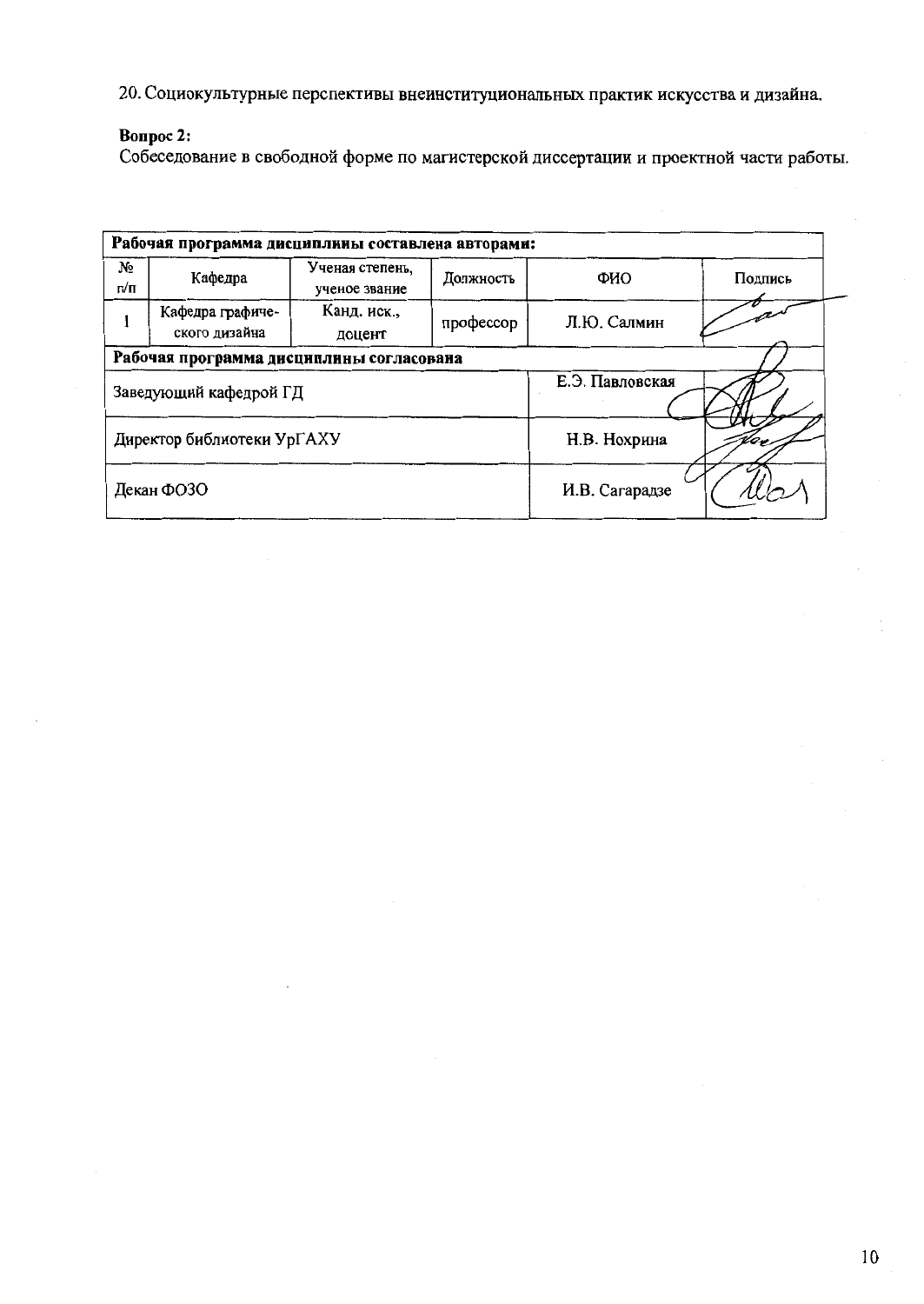20. Социокультурные перспективы внеинституциональных практик искусства и дизайна.

## Bonpoc 2:

Собеседование в свободной форме по магистерской диссертации и проектной части работы.

|                                          | Рабочая программа дисциплины составлена авторами: |                                  |                |                 |         |  |  |  |  |  |
|------------------------------------------|---------------------------------------------------|----------------------------------|----------------|-----------------|---------|--|--|--|--|--|
| No<br>п/п                                | Кафедра                                           | Ученая степень,<br>ученое звание | Должность      | ФИО             | Подпись |  |  |  |  |  |
|                                          | Кафедра графиче-<br>ского дизайна                 | Канд. иск.,<br>доцент            | профессор      | Л.Ю. Салмин     |         |  |  |  |  |  |
| Рабочая программа дисциплины согласована |                                                   |                                  |                |                 |         |  |  |  |  |  |
|                                          | Заведующий кафедрой ГД                            |                                  |                | Е.Э. Павловская |         |  |  |  |  |  |
|                                          | Директор библиотеки УрГАХУ                        |                                  |                | Н.В. Нохрина    |         |  |  |  |  |  |
|                                          | Декан ФОЗО                                        |                                  | И.В. Сагарадзе |                 |         |  |  |  |  |  |